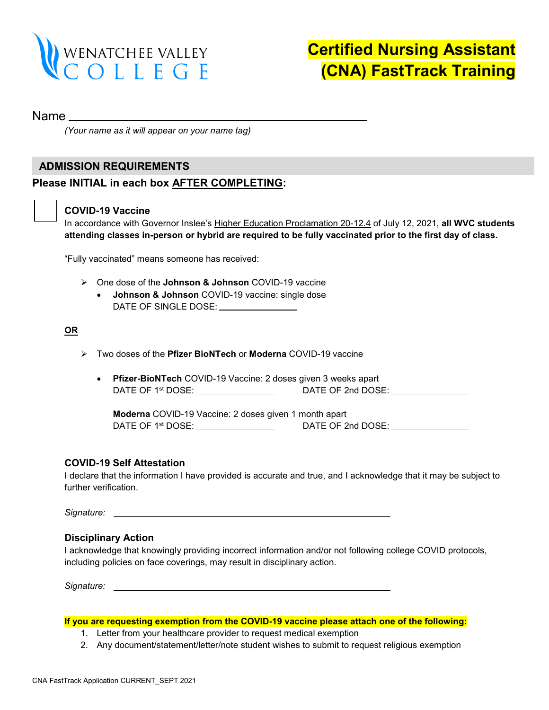

## Name

*(Your name as it will appear on your name tag)*

## **ADMISSION REQUIREMENTS**

## **Please INITIAL in each box AFTER COMPLETING:**

## **COVID-19 Vaccine**

In accordance with Governor Inslee's [Higher Education Proclamation 20-12.4](https://www.governor.wa.gov/sites/default/files/proclamations/proc_20-12.4.pdf) of July 12, 2021, **all WVC students attending classes in-person or hybrid are required to be fully vaccinated prior to the first day of class.** 

"Fully vaccinated" means someone has received:

- One dose of the **Johnson & Johnson** COVID-19 vaccine
	- **Johnson & Johnson** COVID-19 vaccine: single dose DATE OF SINGLE DOSE: \_\_\_\_\_\_\_\_\_\_\_\_\_\_\_\_

## **OR**

- Two doses of the **Pfizer BioNTech** or **Moderna** COVID-19 vaccine
	- **Pfizer-BioNTech** COVID-19 Vaccine: 2 doses given 3 weeks apart DATE OF 1st DOSE: DATE OF 2nd DOSE:

**Moderna** COVID-19 Vaccine: 2 doses given 1 month apart DATE OF 1st DOSE: DATE OF 2nd DOSE:

## **COVID-19 Self Attestation**

I declare that the information I have provided is accurate and true, and I acknowledge that it may be subject to further verification.

*Signature:* 

## **Disciplinary Action**

I acknowledge that knowingly providing incorrect information and/or not following college COVID protocols, including policies on face coverings, may result in disciplinary action.

*Signature:*

#### **If you are requesting exemption from the COVID-19 vaccine please attach one of the following:**

- 1. Letter from your healthcare provider to request medical exemption
- 2. Any document/statement/letter/note student wishes to submit to request religious exemption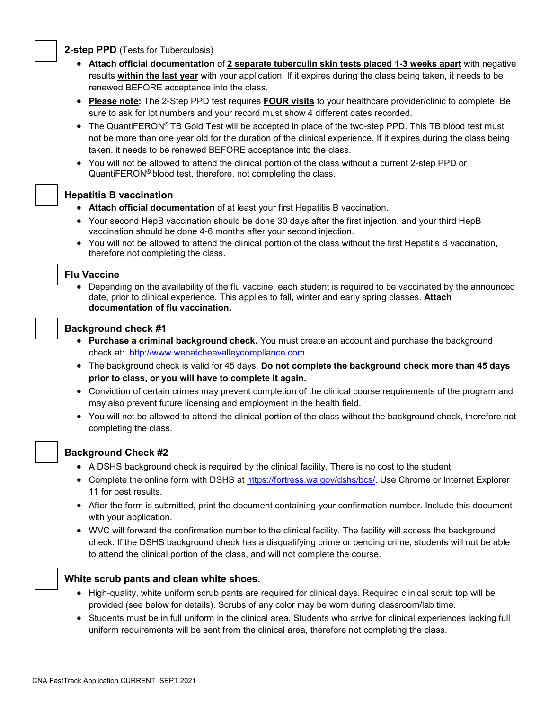## **2-step PPD** (Tests for Tuberculosis)

- **Attach official documentation** of **2 separate tuberculin skin tests placed 1-3 weeks apart** with negative results **within the last year** with your application. If it expires during the class being taken, it needs to be renewed BEFORE acceptance into the class.
- **Please note:** The 2-Step PPD test requires **FOUR visits** to your healthcare provider/clinic to complete. Be sure to ask for lot numbers and your record must show 4 different dates recorded.
- The QuantiFERON® TB Gold Test will be accepted in place of the two-step PPD. This TB blood test must not be more than one year old for the duration of the clinical experience. If it expires during the class being taken, it needs to be renewed BEFORE acceptance into the class.
- You will not be allowed to attend the clinical portion of the class without a current 2-step PPD or QuantiFERON® blood test, therefore, not completing the class.

## **Hepatitis B vaccination**

- **Attach official documentation** of at least your first Hepatitis B vaccination.
- Your second HepB vaccination should be done 30 days after the first injection, and your third HepB vaccination should be done 4-6 months after your second injection.
- You will not be allowed to attend the clinical portion of the class without the first Hepatitis B vaccination, therefore not completing the class.

## **Flu Vaccine**

• Depending on the availability of the flu vaccine, each student is required to be vaccinated by the announced date, prior to clinical experience. This applies to fall, winter and early spring classes. **Attach documentation of flu vaccination.**

## **Background check #1**

- **Purchase a criminal background check.** You must create an account and purchase the background check at: [http://www.wenatcheevalleycompliance.com.](http://www.wenatcheevalleycompliance.com/)
- The background check is valid for 45 days. **Do not complete the background check more than 45 days prior to class, or you will have to complete it again.**
- Conviction of certain crimes may prevent completion of the clinical course requirements of the program and may also prevent future licensing and employment in the health field.
- You will not be allowed to attend the clinical portion of the class without the background check, therefore not completing the class.



## **Background Check #2**

- A DSHS background check is required by the clinical facility. There is no cost to the student.
- Complete the online form with DSHS at [https://fortress.wa.gov/dshs/bcs/.](https://fortress.wa.gov/dshs/bcs/) Use Chrome or Internet Explorer 11 for best results.
- After the form is submitted, print the document containing your confirmation number. Include this document with your application.
- WVC will forward the confirmation number to the clinical facility. The facility will access the background check. If the DSHS background check has a disqualifying crime or pending crime, students will not be able to attend the clinical portion of the class, and will not complete the course.



- High-quality, white uniform scrub pants are required for clinical days. Required clinical scrub top will be provided (see below for details). Scrubs of any color may be worn during classroom/lab time.
- Students must be in full uniform in the clinical area. Students who arrive for clinical experiences lacking full uniform requirements will be sent from the clinical area, therefore not completing the class.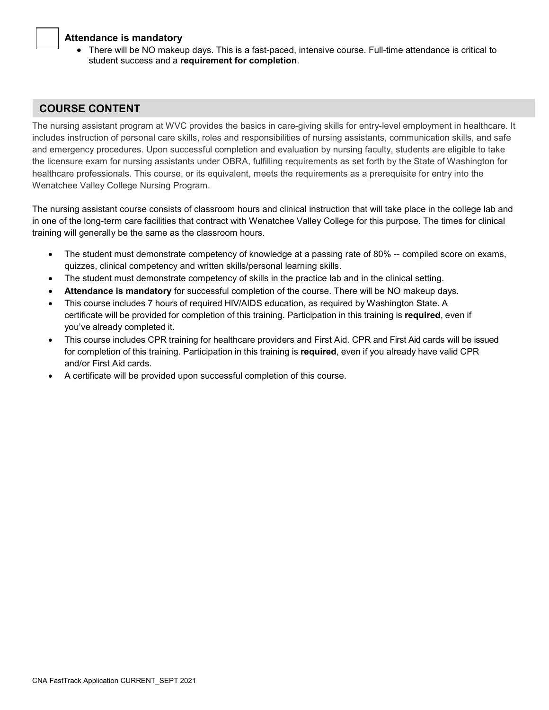## **Attendance is mandatory**

• There will be NO makeup days. This is a fast-paced, intensive course. Full-time attendance is critical to student success and a **requirement for completion**.

## **COURSE CONTENT**

The nursing assistant program at WVC provides the basics in care-giving skills for entry-level employment in healthcare. It includes instruction of personal care skills, roles and responsibilities of nursing assistants, communication skills, and safe and emergency procedures. Upon successful completion and evaluation by nursing faculty, students are eligible to take the licensure exam for nursing assistants under OBRA, fulfilling requirements as set forth by the State of Washington for healthcare professionals. This course, or its equivalent, meets the requirements as a prerequisite for entry into the Wenatchee Valley College Nursing Program.

The nursing assistant course consists of classroom hours and clinical instruction that will take place in the college lab and in one of the long-term care facilities that contract with Wenatchee Valley College for this purpose. The times for clinical training will generally be the same as the classroom hours.

- The student must demonstrate competency of knowledge at a passing rate of 80% -- compiled score on exams, quizzes, clinical competency and written skills/personal learning skills.
- The student must demonstrate competency of skills in the practice lab and in the clinical setting.
- **Attendance is mandatory** for successful completion of the course. There will be NO makeup days.
- This course includes 7 hours of required HIV/AIDS education, as required by Washington State. A certificate will be provided for completion of this training. Participation in this training is **required**, even if you've already completed it.
- This course includes CPR training for healthcare providers and First Aid. CPR and First Aid cards will be issued for completion of this training. Participation in this training is **required**, even if you already have valid CPR and/or First Aid cards.
- A certificate will be provided upon successful completion of this course.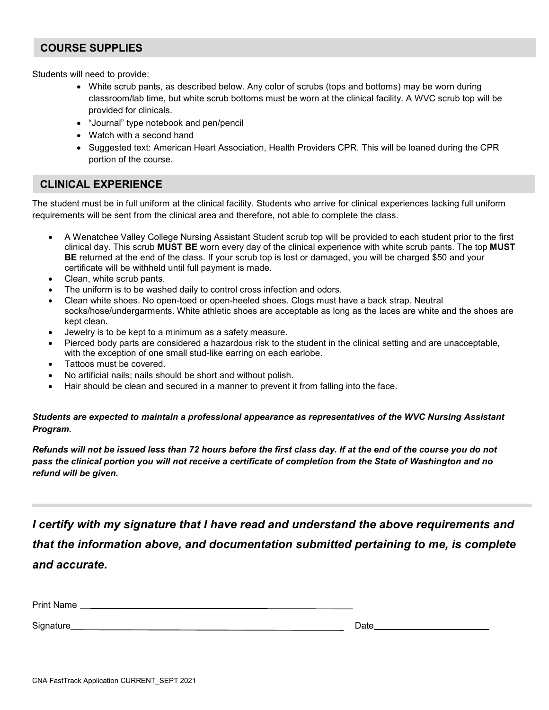## **COURSE SUPPLIES**

Students will need to provide:

- White scrub pants, as described below. Any color of scrubs (tops and bottoms) may be worn during classroom/lab time, but white scrub bottoms must be worn at the clinical facility. A WVC scrub top will be provided for clinicals.
- "Journal" type notebook and pen/pencil
- Watch with a second hand
- Suggested text: American Heart Association, Health Providers CPR. This will be loaned during the CPR portion of the course.

## **CLINICAL EXPERIENCE**

The student must be in full uniform at the clinical facility. Students who arrive for clinical experiences lacking full uniform requirements will be sent from the clinical area and therefore, not able to complete the class.

- A Wenatchee Valley College Nursing Assistant Student scrub top will be provided to each student prior to the first clinical day. This scrub **MUST BE** worn every day of the clinical experience with white scrub pants. The top **MUST BE** returned at the end of the class. If your scrub top is lost or damaged, you will be charged \$50 and your certificate will be withheld until full payment is made.
- Clean, white scrub pants.
- The uniform is to be washed daily to control cross infection and odors.
- Clean white shoes. No open-toed or open-heeled shoes. Clogs must have a back strap. Neutral socks/hose/undergarments. White athletic shoes are acceptable as long as the laces are white and the shoes are kept clean.
- Jewelry is to be kept to a minimum as a safety measure.
- Pierced body parts are considered a hazardous risk to the student in the clinical setting and are unacceptable, with the exception of one small stud-like earring on each earlobe.
- Tattoos must be covered.
- No artificial nails; nails should be short and without polish.
- Hair should be clean and secured in a manner to prevent it from falling into the face.

*Students are expected to maintain a professional appearance as representatives of the WVC Nursing Assistant Program.*

*Refunds will not be issued less than 72 hours before the first class day. If at the end of the course you do not pass the clinical portion you will not receive a certificate of completion from the State of Washington and no refund will be given.*

*I certify with my signature that I have read and understand the above requirements and that the information above, and documentation submitted pertaining to me, is complete and accurate.* 

| Print<br><b>ΓΙΙΠΙΙ ΙΝαΠΙΟ</b> |  |
|-------------------------------|--|
|                               |  |

Signature Date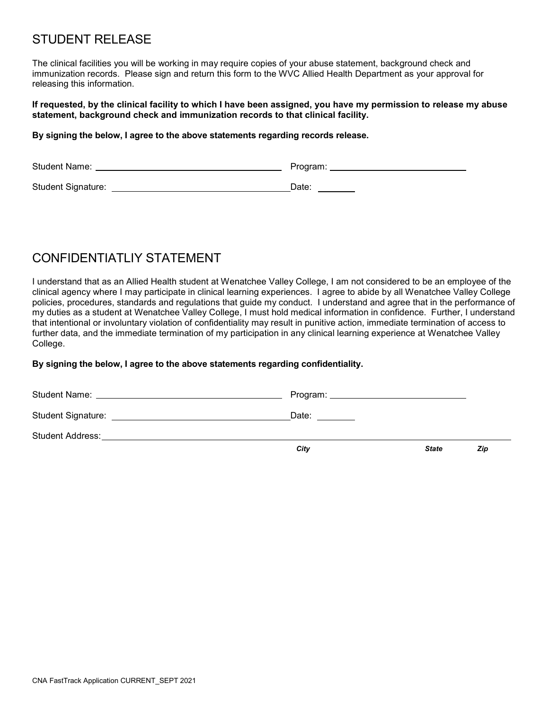# STUDENT RELEASE

The clinical facilities you will be working in may require copies of your abuse statement, background check and immunization records. Please sign and return this form to the WVC Allied Health Department as your approval for releasing this information.

#### **If requested, by the clinical facility to which I have been assigned, you have my permission to release my abuse statement, background check and immunization records to that clinical facility.**

#### **By signing the below, I agree to the above statements regarding records release.**

| <b>Student Name:</b> | Program: |
|----------------------|----------|
| Student Signature:   | Date:    |

# CONFIDENTIATI IY STATEMENT

I understand that as an Allied Health student at Wenatchee Valley College, I am not considered to be an employee of the clinical agency where I may participate in clinical learning experiences. I agree to abide by all Wenatchee Valley College policies, procedures, standards and regulations that guide my conduct. I understand and agree that in the performance of my duties as a student at Wenatchee Valley College, I must hold medical information in confidence. Further, I understand that intentional or involuntary violation of confidentiality may result in punitive action, immediate termination of access to further data, and the immediate termination of my participation in any clinical learning experience at Wenatchee Valley College.

## **By signing the below, I agree to the above statements regarding confidentiality.**

| Student Signature: __________________________________ | Date: <b>Date</b> |              |     |
|-------------------------------------------------------|-------------------|--------------|-----|
|                                                       |                   |              |     |
|                                                       | City              | <b>State</b> | Zip |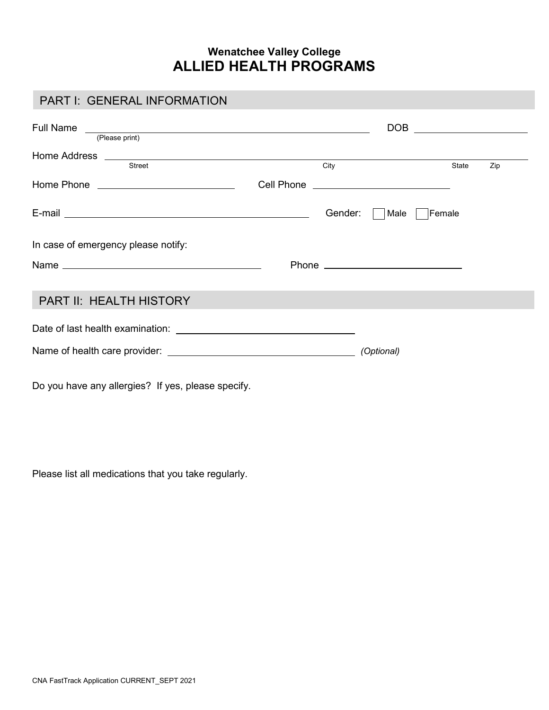## **Wenatchee Valley College ALLIED HEALTH PROGRAMS**

## PART I: GENERAL INFORMATION

| Full Name<br><u> 1980 - Andrea Andrew Maria (h. 1980).</u><br>(Please print) |         | DOB ___________________ |       |     |
|------------------------------------------------------------------------------|---------|-------------------------|-------|-----|
| <b>Street</b>                                                                | City    |                         | State | Zip |
|                                                                              |         |                         |       |     |
|                                                                              | Gender: | Male<br>Female          |       |     |
| In case of emergency please notify:                                          |         |                         |       |     |
|                                                                              |         |                         |       |     |
| PART II: HEALTH HISTORY                                                      |         |                         |       |     |
|                                                                              |         |                         |       |     |
|                                                                              |         |                         |       |     |
| Do you have any allergies? If yes, please specify.                           |         |                         |       |     |

Please list all medications that you take regularly.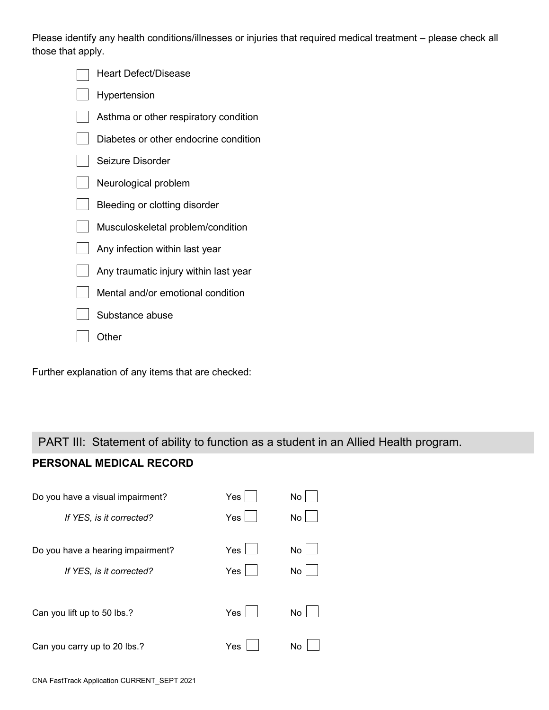Please identify any health conditions/illnesses or injuries that required medical treatment – please check all those that apply.

| Heart Defect/Disease                  |
|---------------------------------------|
| Hypertension                          |
| Asthma or other respiratory condition |
| Diabetes or other endocrine condition |
| Seizure Disorder                      |
| Neurological problem                  |
| Bleeding or clotting disorder         |
| Musculoskeletal problem/condition     |
| Any infection within last year        |
| Any traumatic injury within last year |
| Mental and/or emotional condition     |
| Substance abuse                       |
| Other                                 |

Further explanation of any items that are checked:

## PART III: Statement of ability to function as a student in an Allied Health program.

## **PERSONAL MEDICAL RECORD**

| Do you have a visual impairment?  | Yes | No |
|-----------------------------------|-----|----|
| If YES, is it corrected?          | Yes | No |
| Do you have a hearing impairment? | Yes | No |
| If YES, is it corrected?          | Yes | No |
| Can you lift up to 50 lbs.?       | Yes | No |
| Can you carry up to 20 lbs.?      | Yes | No |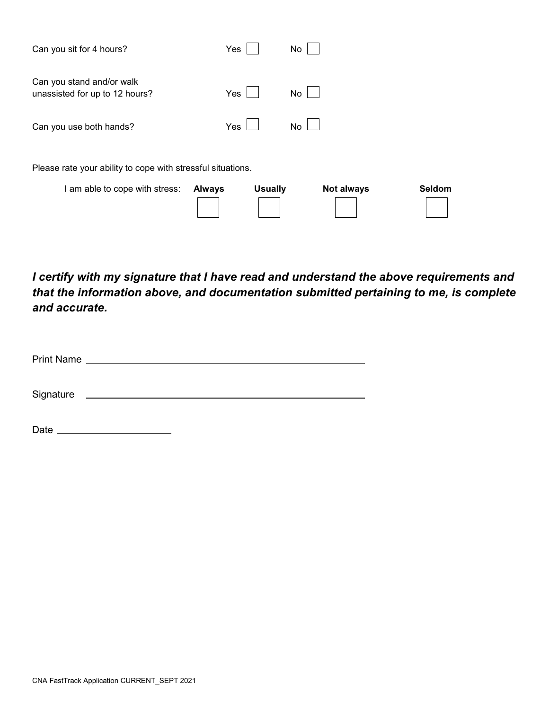| Can you sit for 4 hours?                                    | Yes                             | No                |        |  |
|-------------------------------------------------------------|---------------------------------|-------------------|--------|--|
| Can you stand and/or walk<br>unassisted for up to 12 hours? | Yes                             | No                |        |  |
| Can you use both hands?                                     | <b>Yes</b>                      | No                |        |  |
| Please rate your ability to cope with stressful situations. |                                 |                   |        |  |
| I am able to cope with stress:                              | <b>Usually</b><br><b>Always</b> | <b>Not always</b> | Seldom |  |

*I certify with my signature that I have read and understand the above requirements and that the information above, and documentation submitted pertaining to me, is complete and accurate.* 

Signature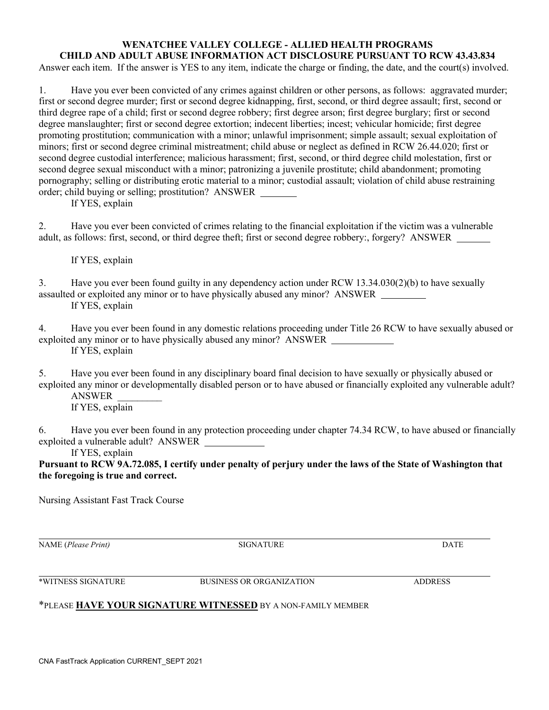#### **WENATCHEE VALLEY COLLEGE - ALLIED HEALTH PROGRAMS CHILD AND ADULT ABUSE INFORMATION ACT DISCLOSURE PURSUANT TO RCW 43.43.834**

Answer each item. If the answer is YES to any item, indicate the charge or finding, the date, and the court(s) involved.

1. Have you ever been convicted of any crimes against children or other persons, as follows: aggravated murder; first or second degree murder; first or second degree kidnapping, first, second, or third degree assault; first, second or third degree rape of a child; first or second degree robbery; first degree arson; first degree burglary; first or second degree manslaughter; first or second degree extortion; indecent liberties; incest; vehicular homicide; first degree promoting prostitution; communication with a minor; unlawful imprisonment; simple assault; sexual exploitation of minors; first or second degree criminal mistreatment; child abuse or neglect as defined in RCW 26.44.020; first or second degree custodial interference; malicious harassment; first, second, or third degree child molestation, first or second degree sexual misconduct with a minor; patronizing a juvenile prostitute; child abandonment; promoting pornography; selling or distributing erotic material to a minor; custodial assault; violation of child abuse restraining order; child buying or selling; prostitution? ANSWER

If YES, explain

2. Have you ever been convicted of crimes relating to the financial exploitation if the victim was a vulnerable adult, as follows: first, second, or third degree theft; first or second degree robbery:, forgery? ANSWER

If YES, explain

3. Have you ever been found guilty in any dependency action under RCW 13.34.030(2)(b) to have sexually assaulted or exploited any minor or to have physically abused any minor? ANSWER If YES, explain

4. Have you ever been found in any domestic relations proceeding under Title 26 RCW to have sexually abused or exploited any minor or to have physically abused any minor? ANSWER If YES, explain

5. Have you ever been found in any disciplinary board final decision to have sexually or physically abused or exploited any minor or developmentally disabled person or to have abused or financially exploited any vulnerable adult? ANSWER \_\_\_\_\_\_\_\_\_

If YES, explain

6. Have you ever been found in any protection proceeding under chapter 74.34 RCW, to have abused or financially exploited a vulnerable adult? ANSWER

If YES, explain

**Pursuant to RCW 9A.72.085, I certify under penalty of perjury under the laws of the State of Washington that the foregoing is true and correct.**

Nursing Assistant Fast Track Course

NAME (*Please Print)* SIGNATURE DATE

\*WITNESS SIGNATURE BUSINESS OR ORGANIZATION ADDRESS

## \*PLEASE **HAVE YOUR SIGNATURE WITNESSED** BY A NON-FAMILY MEMBER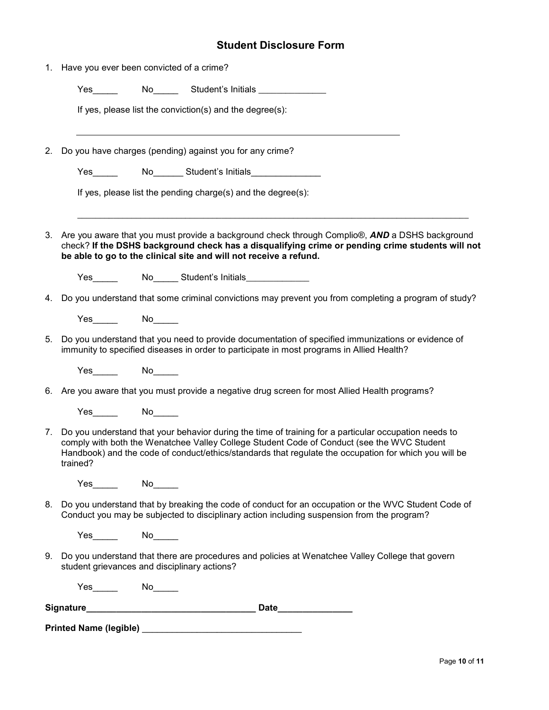## **Student Disclosure Form**

|    |                     | 1. Have you ever been convicted of a crime?                                                                                                                                                                                                                                                                     |
|----|---------------------|-----------------------------------------------------------------------------------------------------------------------------------------------------------------------------------------------------------------------------------------------------------------------------------------------------------------|
|    |                     |                                                                                                                                                                                                                                                                                                                 |
|    |                     | If yes, please list the conviction(s) and the degree(s):                                                                                                                                                                                                                                                        |
| 2. |                     | Do you have charges (pending) against you for any crime?                                                                                                                                                                                                                                                        |
|    |                     | Yes______   No_______ Student's Initials_______________                                                                                                                                                                                                                                                         |
|    |                     | If yes, please list the pending charge(s) and the degree(s):                                                                                                                                                                                                                                                    |
|    |                     | 3. Are you aware that you must provide a background check through Complio®, AND a DSHS background<br>check? If the DSHS background check has a disqualifying crime or pending crime students will not<br>be able to go to the clinical site and will not receive a refund.                                      |
|    |                     |                                                                                                                                                                                                                                                                                                                 |
|    |                     | 4. Do you understand that some criminal convictions may prevent you from completing a program of study?                                                                                                                                                                                                         |
|    | Yes No              |                                                                                                                                                                                                                                                                                                                 |
|    |                     | 5. Do you understand that you need to provide documentation of specified immunizations or evidence of<br>immunity to specified diseases in order to participate in most programs in Allied Health?                                                                                                              |
|    | $Yes$ No            |                                                                                                                                                                                                                                                                                                                 |
|    |                     | 6. Are you aware that you must provide a negative drug screen for most Allied Health programs?                                                                                                                                                                                                                  |
|    | Yes______  No______ |                                                                                                                                                                                                                                                                                                                 |
|    | trained?            | 7. Do you understand that your behavior during the time of training for a particular occupation needs to<br>comply with both the Wenatchee Valley College Student Code of Conduct (see the WVC Student<br>Handbook) and the code of conduct/ethics/standards that regulate the occupation for which you will be |
|    | Yes No              |                                                                                                                                                                                                                                                                                                                 |
|    |                     | 8. Do you understand that by breaking the code of conduct for an occupation or the WVC Student Code of<br>Conduct you may be subjected to disciplinary action including suspension from the program?                                                                                                            |
|    |                     |                                                                                                                                                                                                                                                                                                                 |
|    |                     | 9. Do you understand that there are procedures and policies at Wenatchee Valley College that govern<br>student grievances and disciplinary actions?                                                                                                                                                             |
|    | $Yes$ $No$ $No$     |                                                                                                                                                                                                                                                                                                                 |
|    |                     |                                                                                                                                                                                                                                                                                                                 |
|    |                     |                                                                                                                                                                                                                                                                                                                 |